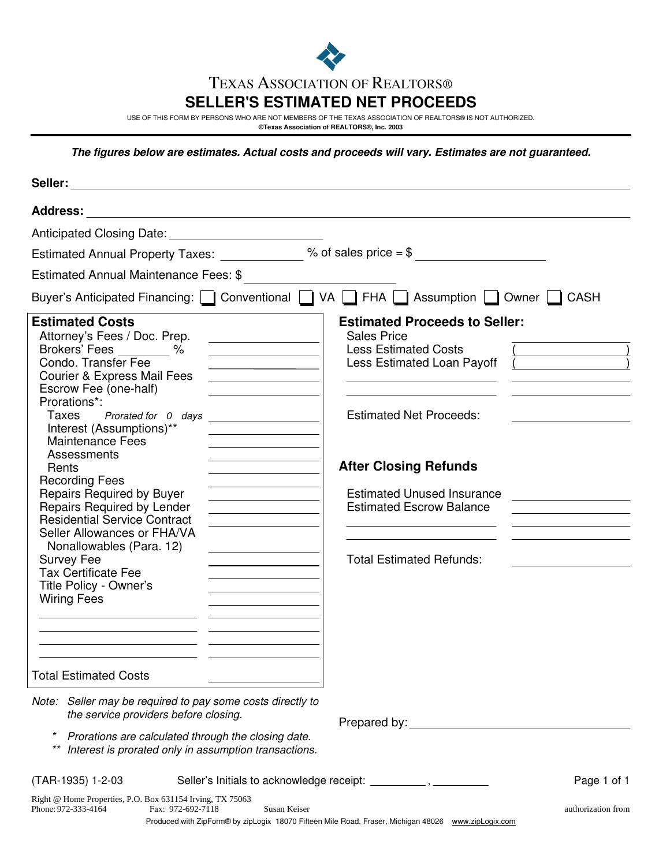

# TEXAS ASSOCIATION OF REALTORS®

## **SELLER'S ESTIMATED NET PROCEEDS**

USE OF THIS FORM BY PERSONS WHO ARE NOT MEMBERS OF THE TEXAS ASSOCIATION OF REALTORS® IS NOT AUTHORIZED.

**©Texas Association of REALTORS®, Inc. 2003**

**The figures below are estimates. Actual costs and proceeds will vary. Estimates are not guaranteed.**

|                                                                                                                                                                                                                                                                                                                                                                                                                                                                                                                                                                                                                                                                                                                                                                                                                                                | Estimated Annual Property Taxes: $\frac{1}{2}$ % of sales price = \$                                                                                                                                                                                                                                 |
|------------------------------------------------------------------------------------------------------------------------------------------------------------------------------------------------------------------------------------------------------------------------------------------------------------------------------------------------------------------------------------------------------------------------------------------------------------------------------------------------------------------------------------------------------------------------------------------------------------------------------------------------------------------------------------------------------------------------------------------------------------------------------------------------------------------------------------------------|------------------------------------------------------------------------------------------------------------------------------------------------------------------------------------------------------------------------------------------------------------------------------------------------------|
| Estimated Annual Maintenance Fees: \$                                                                                                                                                                                                                                                                                                                                                                                                                                                                                                                                                                                                                                                                                                                                                                                                          |                                                                                                                                                                                                                                                                                                      |
|                                                                                                                                                                                                                                                                                                                                                                                                                                                                                                                                                                                                                                                                                                                                                                                                                                                | Buyer's Anticipated Financing: Conventional CVA C FHA C Assumption C Owner C CASH                                                                                                                                                                                                                    |
| <b>Estimated Costs</b><br>Attorney's Fees / Doc. Prep.<br>the control of the control of the control of<br>Brokers' Fees %<br><u> 1989 - Johann Barbara, martxa a</u><br>Condo. Transfer Fee<br>and the control of the control of the<br>Courier & Express Mail Fees<br>Escrow Fee (one-half)<br>Prorations*:<br>Interest (Assumptions)**<br><b>Maintenance Fees</b><br>Assessments<br>Rents<br><b>Recording Fees</b><br><u> 1980 - Johann Barn, mars ann an t-</u><br><b>Repairs Required by Buyer</b><br><b>Repairs Required by Lender</b><br><b>Residential Service Contract</b><br>Seller Allowances or FHA/VA<br>Nonallowables (Para. 12)<br><b>Survey Fee</b><br><b>Tax Certificate Fee</b><br>Title Policy - Owner's<br><b>Wiring Fees</b><br><b>Total Estimated Costs</b><br>Note: Seller may be required to pay some costs directly to | <b>Estimated Proceeds to Seller:</b><br><b>Sales Price</b><br><b>Less Estimated Costs</b><br>Less Estimated Loan Payoff<br><b>Estimated Net Proceeds:</b><br><b>After Closing Refunds</b><br><b>Estimated Unused Insurance</b><br><b>Estimated Escrow Balance</b><br><b>Total Estimated Refunds:</b> |
| the service providers before closing.<br>Prorations are calculated through the closing date.<br>Interest is prorated only in assumption transactions.                                                                                                                                                                                                                                                                                                                                                                                                                                                                                                                                                                                                                                                                                          | Prepared by: North State State State State State State State State State State State State State State State State State State State State State State State State State State State State State State State State State State                                                                       |
| (TAR-1935) 1-2-03                                                                                                                                                                                                                                                                                                                                                                                                                                                                                                                                                                                                                                                                                                                                                                                                                              | Page 1 of 1                                                                                                                                                                                                                                                                                          |
| Right @ Home Properties, P.O. Box 631154 Irving, TX 75063<br>Phone: 972-333-4164<br>Fax: 972-692-7118                                                                                                                                                                                                                                                                                                                                                                                                                                                                                                                                                                                                                                                                                                                                          | Susan Keiser<br>authorization from<br>Produced with ZipForm® by zipLogix 18070 Fifteen Mile Road, Fraser, Michigan 48026 www.zipLogix.com                                                                                                                                                            |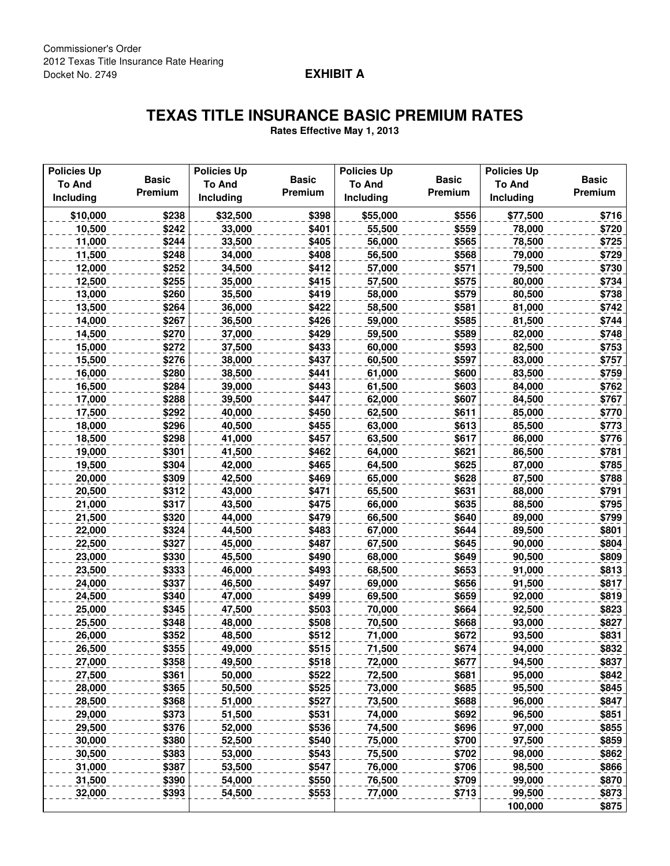## **EXHIBIT A**

## **TEXAS TITLE INSURANCE BASIC PREMIUM RATES**

**Rates Effective May 1, 2013**

| <b>Policies Up</b> |                | <b>Policies Up</b> |                | <b>Policies Up</b> |                | <b>Policies Up</b> |              |
|--------------------|----------------|--------------------|----------------|--------------------|----------------|--------------------|--------------|
| <b>To And</b>      | <b>Basic</b>   | <b>To And</b>      | <b>Basic</b>   | <b>To And</b>      | <b>Basic</b>   | <b>To And</b>      | <b>Basic</b> |
| Including          | Premium        | Including          | Premium        | Including          | Premium        | Including          | Premium      |
| \$10,000           | \$238          | \$32,500           | \$398          | \$55,000           | \$556          | \$77,500           | \$716        |
| 10,500             | \$242          | 33,000             | \$401          | 55,500             | \$559          | 78,000             | \$720        |
| 11,000             | \$244          | 33,500             | \$405          | 56,000             | \$565          | 78,500             | \$725        |
| 11,500             | \$248          | 34,000             | \$408          | 56,500             | \$568          | 79,000             | \$729        |
| 12,000             | \$252          | 34,500             | \$412          | 57,000             | \$571          | 79,500             | \$730        |
| 12,500             | \$255          | 35,000             | \$415          | 57,500             | \$575          | 80,000             | \$734        |
| 13,000             | \$260          | 35,500             | \$419          | 58,000             | \$579          | 80,500             | \$738        |
| 13,500             | \$264          | 36,000             | \$422          | 58,500             | \$581          | 81,000             | \$742        |
| 14,000             | \$267          | 36,500             | \$426          | 59,000             | \$585          | 81,500             | \$744        |
| 14,500             | \$270          | 37,000             | \$429          | 59,500             | \$589          | 82,000             | \$748        |
| 15,000             | \$272          | 37,500             | \$433          | 60,000             | \$593          | 82,500             | \$753        |
| 15,500             | \$276          | 38,000             | \$437          | 60,500             | \$597          | 83,000             | \$757        |
| 16,000             | \$280          | 38,500             | \$441          | 61,000             | \$600          | 83,500             | \$759        |
| 16,500             | \$284          | 39,000             | \$443          | 61,500             | \$603          | 84,000             | \$762        |
| 17,000             | \$288          | 39,500             | \$447          | 62,000             | \$607          | 84,500             | \$767        |
| 17,500             | \$292          | 40,000             | \$450          | 62,500             | \$611          | 85,000             | \$770        |
| 18,000             | \$296          | 40,500             | \$455          | 63,000             | \$613          | 85,500             | \$773        |
| 18,500             | \$298          | 41,000             | \$457          | 63,500             | \$617          | 86,000             | \$776        |
| 19,000             | \$301          | 41,500             | \$462          | 64,000             | \$621          | 86,500             | \$781        |
| 19,500             | \$304          | 42,000             | \$465          | 64,500             | \$625          | 87,000             | \$785        |
| 20,000             | \$309          | 42,500             | \$469          | 65,000             | \$628          | 87,500             | \$788        |
| 20,500             | \$312          | 43,000             | \$471          | 65,500             | \$631          | 88,000             | \$791        |
| 21,000             | \$317          | 43,500             | \$475          | 66,000             | \$635          | 88,500             | \$795        |
| 21,500             | \$320          | 44,000             | \$479          | 66,500             | \$640          | 89,000             | \$799        |
| 22,000             | \$324          | 44,500             | \$483          | 67,000             | \$644          | 89,500             | \$801        |
| 22,500             | \$327          | 45,000             | \$487          | 67,500             | \$645          | 90,000             | \$804        |
| 23,000             | \$330          | 45,500             | \$490          | 68,000             | \$649          | 90,500             | \$809        |
| 23,500             | \$333          | 46,000             | \$493          | 68,500             | \$653          | 91,000             | \$813        |
| 24,000             | \$337          | 46,500             | \$497          | 69,000             | \$656          | 91,500             | \$817        |
| 24,500             | \$340          | 47,000             | \$499          | 69,500             | \$659          | 92,000             | \$819        |
| 25,000             | \$345          | 47,500             | \$503          | 70,000             | \$664          | 92,500             | \$823        |
|                    |                |                    | \$508          |                    | \$668          |                    | \$827        |
| 25,500             | \$348<br>\$352 | 48,000             |                | 70,500             |                | 93,000             | \$831        |
| 26,000<br>26,500   | \$355          | 48,500<br>49,000   | \$512<br>\$515 | 71,000<br>71,500   | \$672<br>\$674 | 93,500<br>94,000   | \$832        |
|                    |                |                    |                |                    |                |                    |              |
| 27,000             | \$358          | 49,500             | \$518          | 72,000             | \$677          | 94,500             | \$837        |
| 27,500             | \$361          | 50,000             | \$522          | 72,500             | \$681          | 95,000             | \$842        |
| 28,000             | \$365          | 50,500             | \$525          | 73,000             | \$685          | 95,500             | \$845        |
| 28,500             | \$368          | 51,000             | \$527          | 73,500             | \$688          | 96,000             | \$847        |
| 29,000             | \$373          | 51,500             | \$531          | 74,000             | \$692          | 96,500             | \$851        |
| 29,500             | \$376          | 52,000             | \$536          | 74,500             | \$696          | 97,000             | \$855        |
| 30,000             | \$380          | 52,500             | \$540          | 75,000             | \$700          | 97,500             | \$859        |
| 30,500             | \$383          | 53,000             | \$543          | 75,500             | \$702          | 98,000             | \$862        |
| 31,000             | \$387          | 53,500             | \$547          | 76,000             | \$706          | 98,500             | \$866        |
| 31,500             | \$390          | 54,000             | \$550          | 76,500             | \$709          | 99,000             | \$870        |
| 32,000             | \$393          | 54,500             | \$553          | 77,000             | \$713          | 99,500             | \$873        |
|                    |                |                    |                |                    |                | 100,000            | \$875        |